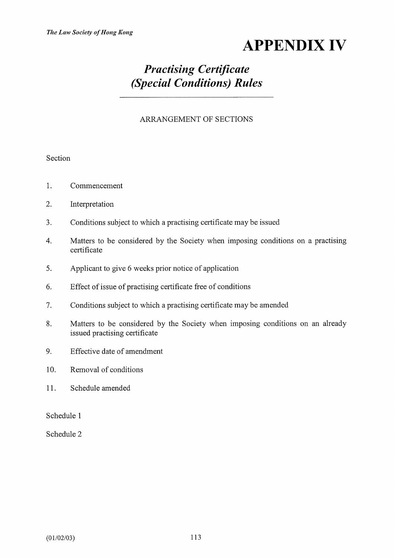# APPENDIX IV

## Practising Certificate (Special Conditions) Rules

#### ARRANGEMENT OF SECTIONS

#### Section

- 1. Commencement
- 2. Interpretation
- 3. Conditions subject to which a practising certificate may be issued
- 4. Matters to be considered by the Society when imposing conditions on a practising certificate
- 5. Applicant to give 6 weeks prior notice of application
- 6. Effect of issue of practising certificate free of conditions
- 7. Conditions subject to which a practising certificate may be amended
- 8. Matters to be considered by the Society when imposing conditions on an already issued practising certificate
- 9. Effective date of amendment
- 10. Removal of conditions
- 11. Schedule amended

Schedule 1

Schedule 2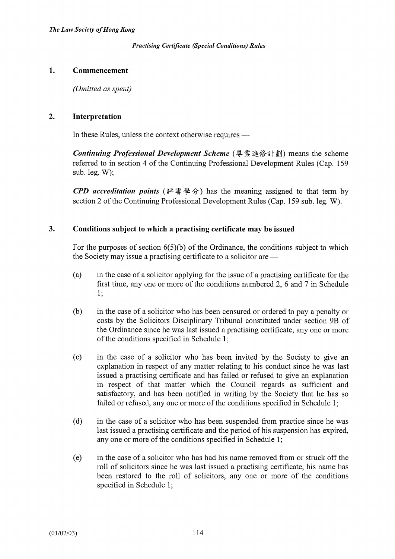#### 1. Commencement

(Omitted as spent)

#### 2. Interpretation

In these Rules, unless the context otherwise requires —

Continuing Professional Development Scheme (專業進修計劃) means the scheme referred to in section 4 of the Continuing Professional Development Rules (Cap. 159 sub. leg. W);

**CPD** accreditation points (評審學分) has the meaning assigned to that term by section 2 of the Continuing Professional Development Rules (Cap. 159 sub. leg. W).

#### 3. Conditions subject to which a practising certificate may be issued

For the purposes of section  $6(5)(b)$  of the Ordinance, the conditions subject to which the Society may issue a practising certificate to a solicitor are —

- (a) in the case of a solicitor applying for the issue of a practising certificate for the first time, any one or more of the conditions numbered 2, 6 and 7 in Schedule 1;
- (b) in the case of a solicitor who has been censured or ordered to pay a penalty or costs by the Solicitors Disciplinary Tribunal constituted under section 9B of the Ordinance since he was last issued a practising certificate, any one or more of the conditions specified in Schedule 1;
- (c) in the case of a solicitor who has been invited by the Society to give an explanation in respect of any matter relating to his conduct since he was last issued a practising certificate and has failed or refused to give an explanation in respect of that matter which the Council regards as sufficient and satisfactory, and has been notified in writing by the Society that he has so failed or refused, any one or more of the conditions specified in Schedule 1;
- (d) in the case of a solicitor who has been suspended from practice since he was last issued a practising certificate and the period of his suspension has expired, any one or more of the conditions specified in Schedule 1;
- (e) in the case of a solicitor who has had his name removed from or struck off the roll of solicitors since he was last issued a practising certificate, his name has been restored to the roll of solicitors, any one or more of the conditions specified in Schedule 1;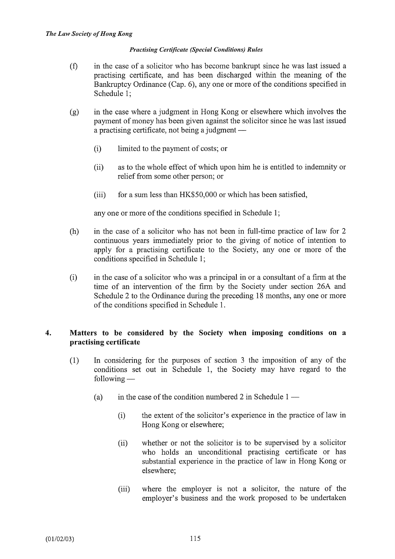- (f) in the case of a solicitor who has become bankrupt since he was last issued a practising certificate, and has been discharged within the meaning of the Bankruptcy Ordinance (Cap. 6), any one or more of the conditions specified in Schedule 1;
- (g) in the case where a judgment in Hong Kong or elsewhere which involves the payment of money has been given against the solicitor since he was last issued a practising certificate, not being a judgment  $-$ 
	- (i) limited to the payment of costs; or
	- (ii) as to the whole effect of which upon him he is entitled to indemnity or relief from some other person; or
	- (iii) for a sum less than HK\$50,000 or which has been satisfied,

any one or more of the conditions specified in Schedule 1;

- (h) in the case of a solicitor who has not been in full-time practice of law for 2 continuous years immediately prior to the giving of notice of intention to apply for a practising certificate to the Society, any one or more of the conditions specified in Schedule 1;
- (i) in the case of a solicitor who was a principal in or a consultant of a firm at the time of an intervention of the firm by the Society under section 26A and Schedule 2 to the Ordinance during the preceding 18 months, any one or more of the conditions specified in Schedule 1.

#### 4. Matters to be considered by the Society when imposing conditions on a practising certificate

- (1) In considering for the purposes of section 3 the imposition of any of the conditions set out in Schedule 1, the Society may have regard to the  $following -$ 
	- (a) in the case of the condition numbered 2 in Schedule  $1 -$ 
		- (i) the extent of the solicitor's experience in the practice of law in Hong Kong or elsewhere;
		- (ii) whether or not the solicitor is to be supervised by a solicitor who holds an unconditional practising certificate or has substantial experience in the practice of law in Hong Kong or elsewhere;
		- (iii) where the employer is not a solicitor, the nature of the employer's business and the work proposed to be undertaken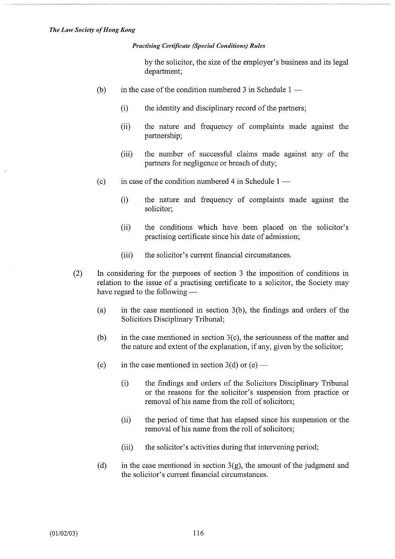by the solicitor, the size of the employer's business and its legal department;

- (b) in the case of the condition numbered 3 in Schedule  $1 -$ 
	- (i) the identity and disciplinary record of the partners;
	- (ii) the nature and frequency of complaints made against the partnership;
	- (iii) the number of successful claims made against any of the partners for negligence or breach of duty;
- (c) in case of the condition numbered 4 in Schedule  $1 -$ 
	- (i) the nature and frequency of complaints made against the solicitor;
	- (ii) the conditions which have been placed on the solicitor's practising certificate since his date of admission;
	- (iii) the solicitor's current financial circumstances.
- (2) In considering for the purposes of section 3 the imposition of conditions in relation to the issue of a practising certificate to a solicitor, the Society may have regard to the following  $-$ 
	- (a) in the case mentioned in section 3(b), the findings and orders of the Solicitors Disciplinary Tribunal;
	- (b) in the case mentioned in section  $3(c)$ , the seriousness of the matter and the nature and extent of the explanation, if any, given by the solicitor;
	- (c) in the case mentioned in section  $3(d)$  or (e)
		- (i) the findings and orders of the Solicitors Disciplinary Tribunal or the reasons for the solicitor's suspension from practice or removal of his name from the roll of solicitors;
		- (ii) the period of time that has elapsed since his suspension or the removal of his name from the roll of solicitors;
		- (iii) the solicitor's activities during that intervening period;
	- (d) in the case mentioned in section  $3(g)$ , the amount of the judgment and the solicitor's current financial circumstances.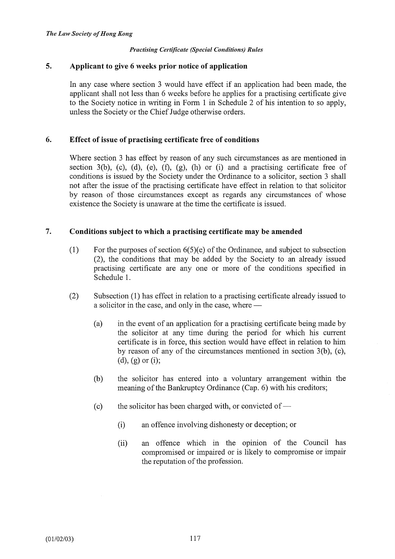#### 5. Applicant to give 6 weeks prior notice of application

In any case where section 3 would have effect if an application had been made, the applicant shall not less than 6 weeks before he applies for a practising certificate give to the Society notice in writing in Form 1 in Schedule 2 of his intention to so apply, unless the Society or the Chief Judge otherwise orders.

#### 6. Effect of issue of practising certificate free of conditions

Where section 3 has effect by reason of any such circumstances as are mentioned in section 3(b), (c), (d), (e), (f), (g), (h) or (i) and a practising certificate free of conditions is issued by the Society under the Ordinance to a solicitor, section 3 shall not after the issue of the practising certificate have effect in relation to that solicitor by reason of those circumstances except as regards any circumstances of whose existence the Society is unaware at the time the certificate is issued.

#### 7. Conditions subject to which a practising certificate may be amended

- (1) For the purposes of section  $6(5)(e)$  of the Ordinance, and subject to subsection (2), the conditions that may be added by the Society to an already issued practising certificate are any one or more of the conditions specified in Schedule 1.
- (2) Subsection (1) has effect in relation to a practising certificate already issued to a solicitor in the case, and only in the case, where -
	- (a) in the event of an application for a practising certificate being made by the solicitor at any time during the period for which his current certificate is in force, this section would have effect in relation to him by reason of any of the circumstances mentioned in section 3(b), (c), (d), (g) or (i);
	- (b) the solicitor has entered into a voluntary arrangement within the meaning of the Bankruptcy Ordinance (Cap. 6) with his creditors;
	- (c) the solicitor has been charged with, or convicted of  $-$ 
		- (i) an offence involving dishonesty or deception; or
		- (ii) an offence which in the opinion of the Council has compromised or impaired or is likely to compromise or impair the reputation of the profession.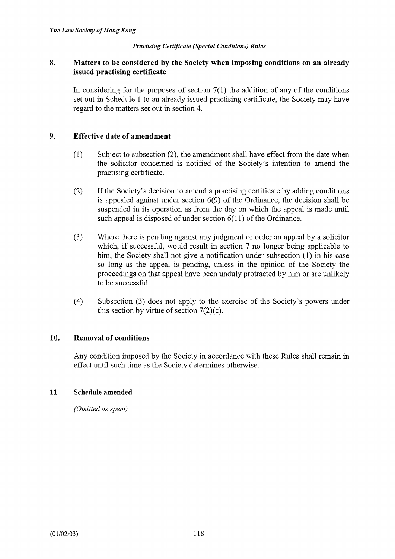#### 8. Matters to be considered by the Society when imposing conditions on an already issued practising certificate

In considering for the purposes of section  $7(1)$  the addition of any of the conditions set out in Schedule 1 to an already issued practising certificate, the Society may have regard to the matters set out in section 4.

#### 9. Effective date of amendment

- (1) Subject to subsection (2), the amendment shall have effect from the date when the solicitor concerned is notified of the Society's intention to amend the practising certificate.
- (2) If the Society's decision to amend a practising certificate by adding conditions is appealed against under section 6(9) of the Ordinance, the decision shall be suspended in its operation as from the day on which the appeal is made until such appeal is disposed of under section 6(11) of the Ordinance.
- (3) Where there is pending against any judgment or order an appeal by a solicitor which, if successful, would result in section 7 no longer being applicable to him, the Society shall not give a notification under subsection (1) in his case so long as the appeal is pending, unless in the opinion of the Society the proceedings on that appeal have been unduly protracted by him or are unlikely to be successful.
- (4) Subsection (3) does not apply to the exercise of the Society's powers under this section by virtue of section  $7(2)(c)$ .

#### 10. Removal of conditions

Any condition imposed by the Society in accordance with these Rules shall remain in effect until such time as the Society determines otherwise.

#### 11. Schedule amended

(Omitted as spent)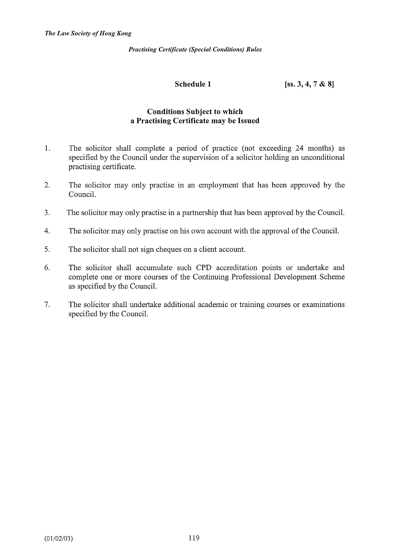Schedule 1 [ss. 3, 4, 7 & 8]

#### Conditions Subject to which a Practising Certificate may be Issued

- 1. The solicitor shall complete a period of practice (not exceeding 24 months) as specified by the Council under the supervision of a solicitor holding an unconditional practising certificate.
- 2. The solicitor may only practise in an employment that has been approved by the Council.
- 3. The solicitor may only practise in a partnership that has been approved by the Council.
- 4. The solicitor may only practise on his own account with the approval of the Council.
- 5. The solicitor shall not sign cheques on a client account.
- 6. The solicitor shall accumulate such CPD accreditation points or undertake and complete one or more courses of the Continuing Professional Development Scheme as specified by the Council.
- 7. The solicitor shall undertake additional academic or training courses or examinations specified by the Council.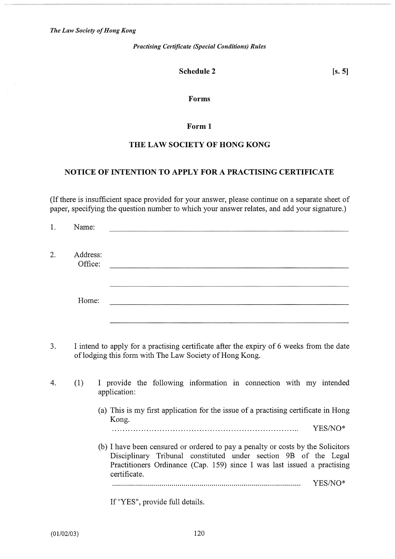#### Schedule 2

 $[s, 5]$ 

#### Forms

#### Form 1

#### THE LAW SOCIETY OF HONG KONG

#### NOTICE OF INTENTION TO APPLY FOR A PRACTISING CERTIFICATE

(If there is insufficient space provided for your answer, please continue on a separate sheet of paper, specifying the question number to which your answer relates, and add your signature.)

| 1. | Name:               |                                                                                                                                                                                                                                                              |  |
|----|---------------------|--------------------------------------------------------------------------------------------------------------------------------------------------------------------------------------------------------------------------------------------------------------|--|
| 2. | Address:<br>Office: |                                                                                                                                                                                                                                                              |  |
|    | Home:               |                                                                                                                                                                                                                                                              |  |
| 3. |                     | I intend to apply for a practising certificate after the expiry of 6 weeks from the date<br>of lodging this form with The Law Society of Hong Kong.                                                                                                          |  |
| 4. | (1)                 | I provide the following information in connection with my intended<br>application:                                                                                                                                                                           |  |
|    |                     | (a) This is my first application for the issue of a practising certificate in Hong<br>Kong.<br>YES/NO*<br>(b) I have been censured or ordered to pay a penalty or costs by the Solicitors<br>Disciplinary Tribunal constituted under section 9B of the Legal |  |
|    |                     | Practitioners Ordinance (Cap. 159) since I was last issued a practising<br>certificate.<br>YES/NO*                                                                                                                                                           |  |

If "YES", provide full details.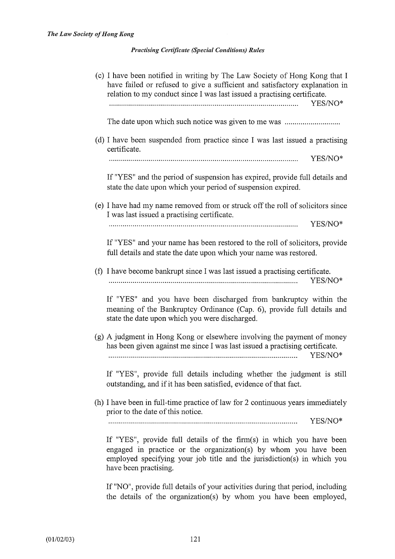(c) I have been notified in writing by The Law Society of Hong Kong that I have failed or refused to give a sufficient and satisfactory explanation in relation to my conduct since I was last issued a practising certificate. YES/NO\* The date upon which such notice was given to me was ............................ (d) I have been suspended from practice since I was last issued a practising certificate. YES/NO\* If YES" and the period of suspension has expired, provide full details and state the date upon which your period of suspension expired. (e) I have had my name removed from or struck off the roll of solicitors since I was last issued a practising certificate. YES/NO\* If "YES" and your name has been restored to the roll of solicitors, provide full details and state the date upon which your name was restored. (f) I have become bankrupt since I was last issued a practising certificate. YES/NO\* If "YES" and you have been discharged from bankruptcy within the meaning of the Bankruptcy Ordinance (Cap. 6), provide full details and state the date upon which you were discharged. (g) A judgment in Hong Kong or elsewhere involving the payment of money has been given against me since I was last issued a practising certificate. YES/NO\* If "YES", provide full details including whether the judgment is still outstanding, and if it has been satisfied, evidence of that fact. (h) I have been in full-time practice of law for 2 continuous years immediately prior to the date of this notice. YES/NO\* If "YES", provide full details of the firm(s) in which you have been engaged in practice or the organization(s) by whom you have been employed specifying your job title and the jurisdiction(s) in which you have been practising.

> If "NO", provide full details of your activities during that period, including the details of the organization(s) by whom you have been employed,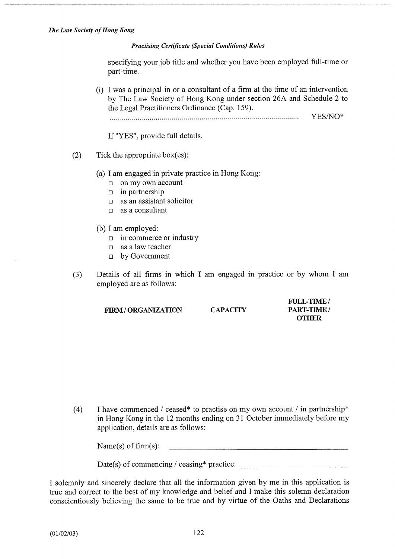specifying your job title and whether you have been employed full-time or part-time.

(i) I was a principal in or a consultant of a firm at the time of an intervention by The Law Society of Hong Kong under section 26A and Schedule 2 to the Legal Practitioners Ordinance (Cap. 159).

YES/NO\*

If "YES", provide full details.

- (2) Tick the appropriate box(es):
	- (a) I am engaged in private practice in Hong Kong:
		- $\Box$  on my own account
		- $\Box$  in partnership
		- $\Box$  as an assistant solicitor
		- $\Box$  as a consultant
	- (b) I am employed:
		- $\Box$  in commerce or industry
		- $\Box$  as a law teacher
		- o by Government
- (3) Details of all firms in which I am engaged in practice or by whom I am employed are as follows:

FIRM / ORGANIZATION CAPACITY PART-TIME /

FULL-TIME/ **OTHER** 

(4) I have commenced / ceased\* to practise on my own account / in partnership\* in Hong Kong in the 12 months ending on 31 October immediately before my application, details are as follows:

Name(s) of firm(s): 

Date(s) of commencing / ceasing\* practice:

I solemnly and sincerely declare that all the information given by me in this application is true and correct to the best of my knowledge and belief and I make this solemn declaration conscientiously believing the same to be true and by virtue of the Oaths and Declarations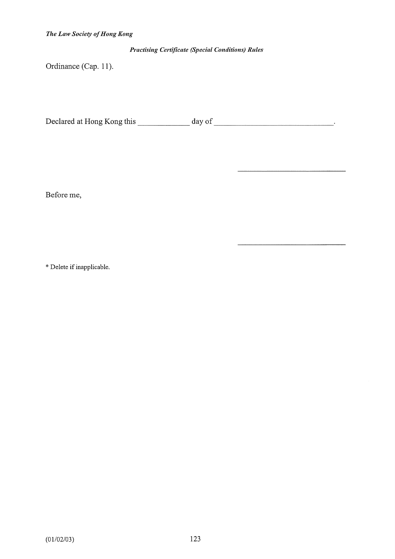Ordinance (Cap. 11).

Declared at Hong Kong this \_\_\_\_\_\_\_\_\_\_\_\_\_\_ day of \_\_\_\_\_\_\_\_\_\_\_\_\_\_\_\_\_\_\_\_\_\_\_\_\_\_\_\_\_\_\_.

Before me,

\* Delete if inapplicable.